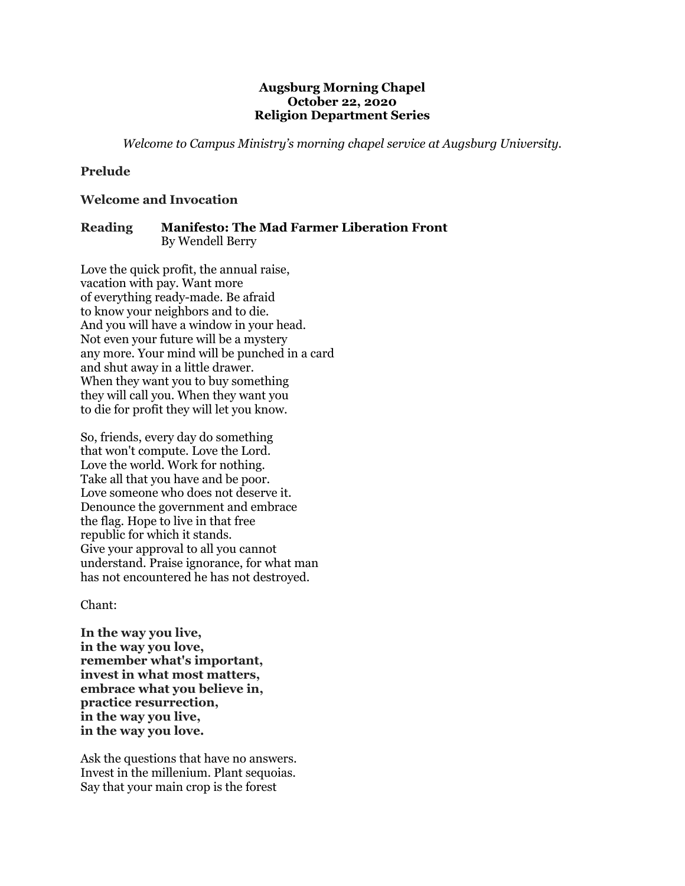### **Augsburg Morning Chapel October 22, 2020 Religion Department Series**

*Welcome to Campus Ministry's morning chapel service at Augsburg University.*

# **Prelude**

### **Welcome and Invocation**

# **Reading Manifesto: The Mad Farmer Liberation Front** By Wendell Berry

Love the quick profit, the annual raise, vacation with pay. Want more of everything ready-made. Be afraid to know your neighbors and to die. And you will have a window in your head. Not even your future will be a mystery any more. Your mind will be punched in a card and shut away in a little drawer. When they want you to buy something they will call you. When they want you to die for profit they will let you know.

So, friends, every day do something that won't compute. Love the Lord. Love the world. Work for nothing. Take all that you have and be poor. Love someone who does not deserve it. Denounce the government and embrace the flag. Hope to live in that free republic for which it stands. Give your approval to all you cannot understand. Praise ignorance, for what man has not encountered he has not destroyed.

Chant:

**In the way you live, in the way you love, remember what's important, invest in what most matters, embrace what you believe in, practice resurrection, in the way you live, in the way you love.**

Ask the questions that have no answers. Invest in the millenium. Plant sequoias. Say that your main crop is the forest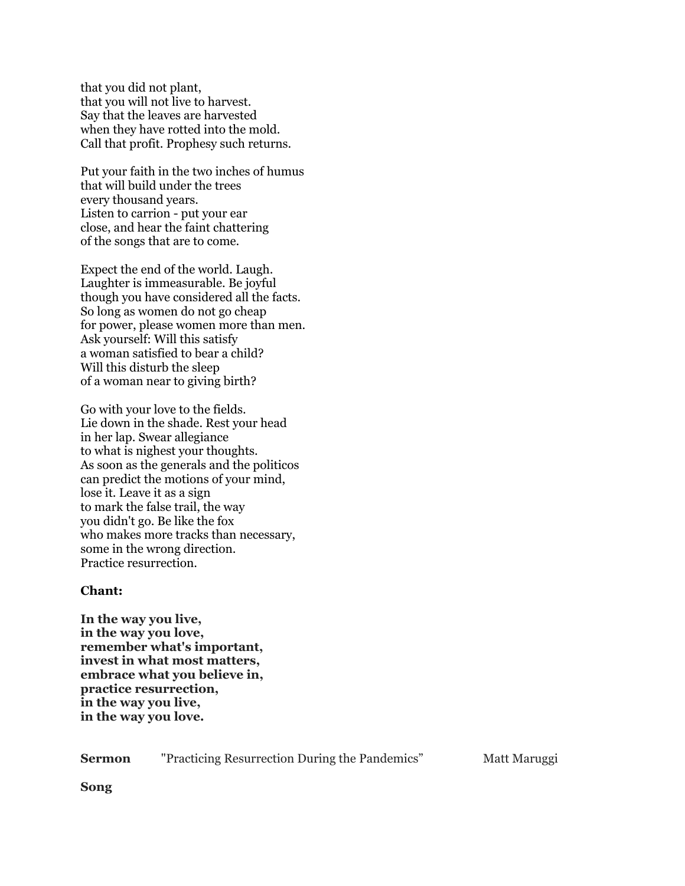that you did not plant, that you will not live to harvest. Say that the leaves are harvested when they have rotted into the mold. Call that profit. Prophesy such returns.

Put your faith in the two inches of humus that will build under the trees every thousand years. Listen to carrion - put your ear close, and hear the faint chattering of the songs that are to come.

Expect the end of the world. Laugh. Laughter is immeasurable. Be joyful though you have considered all the facts. So long as women do not go cheap for power, please women more than men. Ask yourself: Will this satisfy a woman satisfied to bear a child? Will this disturb the sleep of a woman near to giving birth?

Go with your love to the fields. Lie down in the shade. Rest your head in her lap. Swear allegiance to what is nighest your thoughts. As soon as the generals and the politicos can predict the motions of your mind, lose it. Leave it as a sign to mark the false trail, the way you didn't go. Be like the fox who makes more tracks than necessary, some in the wrong direction. Practice resurrection.

### **Chant:**

**In the way you live, in the way you love, remember what's important, invest in what most matters, embrace what you believe in, practice resurrection, in the way you live, in the way you love.**

**Sermon** "Practicing Resurrection During the Pandemics" Matt Maruggi

**Song**